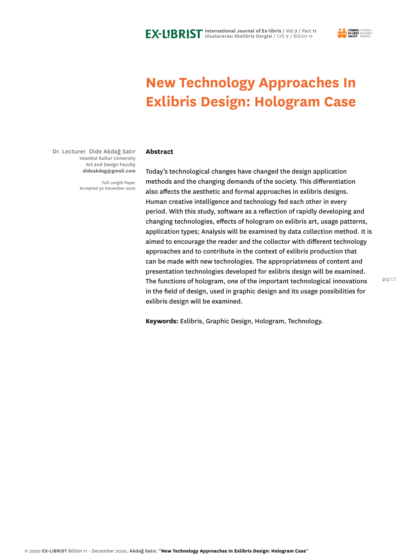

# **New Technology Approaches In Exlibris Design: Hologram Case**

Dr. Lecturer Dide Akdağ Satır Istanbul Kultur University Art and Design Faculty **dideakdag@gmail.com**

> Full Length Paper Accepted 30 December 2020

#### **Abstract**

Today's technological changes have changed the design application methods and the changing demands of the society. This differentiation also affects the aesthetic and formal approaches in exlibris designs. Human creative intelligence and technology fed each other in every period. With this study, software as a reflection of rapidly developing and changing technologies, effects of hologram on exlibris art, usage patterns, application types; Analysis will be examined by data collection method. It is aimed to encourage the reader and the collector with different technology approaches and to contribute in the context of exlibris production that can be made with new technologies. The appropriateness of content and presentation technologies developed for exlibris design will be examined. The functions of hologram, one of the important technological innovations in the field of design, used in graphic design and its usage possibilities for exlibris design will be examined.

**Keywords:** Exlibris, Graphic Design, Hologram, Technology.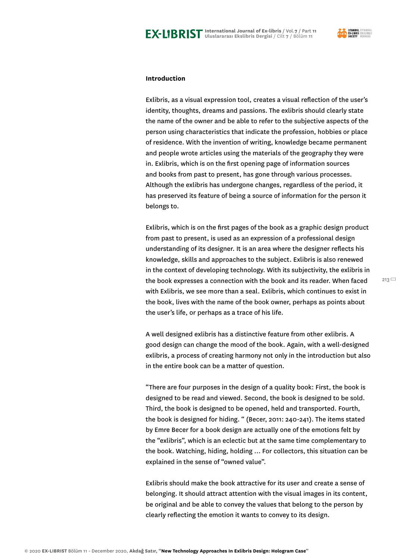

# **Introduction**

Exlibris, as a visual expression tool, creates a visual reflection of the user's identity, thoughts, dreams and passions. The exlibris should clearly state the name of the owner and be able to refer to the subjective aspects of the person using characteristics that indicate the profession, hobbies or place of residence. With the invention of writing, knowledge became permanent and people wrote articles using the materials of the geography they were in. Exlibris, which is on the first opening page of information sources and books from past to present, has gone through various processes. Although the exlibris has undergone changes, regardless of the period, it has preserved its feature of being a source of information for the person it belongs to.

Exlibris, which is on the first pages of the book as a graphic design product from past to present, is used as an expression of a professional design understanding of its designer. It is an area where the designer reflects his knowledge, skills and approaches to the subject. Exlibris is also renewed in the context of developing technology. With its subjectivity, the exlibris in the book expresses a connection with the book and its reader. When faced with Exlibris, we see more than a seal. Exlibris, which continues to exist in the book, lives with the name of the book owner, perhaps as points about the user's life, or perhaps as a trace of his life.

A well designed exlibris has a distinctive feature from other exlibris. A good design can change the mood of the book. Again, with a well-designed exlibris, a process of creating harmony not only in the introduction but also in the entire book can be a matter of question.

"There are four purposes in the design of a quality book: First, the book is designed to be read and viewed. Second, the book is designed to be sold. Third, the book is designed to be opened, held and transported. Fourth, the book is designed for hiding. " (Becer, 2011: 240-241). The items stated by Emre Becer for a book design are actually one of the emotions felt by the "exlibris", which is an eclectic but at the same time complementary to the book. Watching, hiding, holding ... For collectors, this situation can be explained in the sense of "owned value".

Exlibris should make the book attractive for its user and create a sense of belonging. It should attract attention with the visual images in its content, be original and be able to convey the values that belong to the person by clearly reflecting the emotion it wants to convey to its design.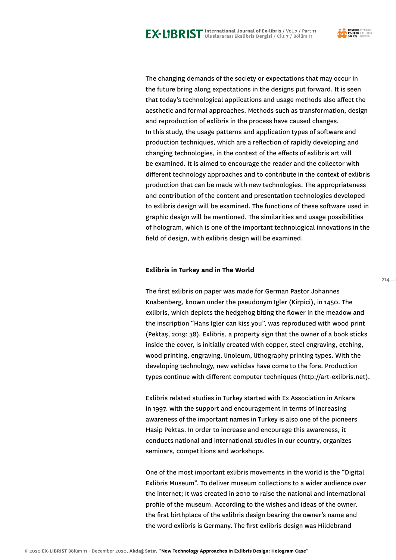



The changing demands of the society or expectations that may occur in the future bring along expectations in the designs put forward. It is seen that today's technological applications and usage methods also affect the aesthetic and formal approaches. Methods such as transformation, design and reproduction of exlibris in the process have caused changes. In this study, the usage patterns and application types of software and production techniques, which are a reflection of rapidly developing and changing technologies, in the context of the effects of exlibris art will be examined. It is aimed to encourage the reader and the collector with different technology approaches and to contribute in the context of exlibris production that can be made with new technologies. The appropriateness and contribution of the content and presentation technologies developed to exlibris design will be examined. The functions of these software used in graphic design will be mentioned. The similarities and usage possibilities of hologram, which is one of the important technological innovations in the field of design, with exlibris design will be examined.

# **Exlibris in Turkey and in The World**

The first exlibris on paper was made for German Pastor Johannes Knabenberg, known under the pseudonym Igler (Kirpici), in 1450. The exlibris, which depicts the hedgehog biting the flower in the meadow and the inscription "Hans Igler can kiss you", was reproduced with wood print (Pektaş, 2019: 38). Exlibris, a property sign that the owner of a book sticks inside the cover, is initially created with copper, steel engraving, etching, wood printing, engraving, linoleum, lithography printing types. With the developing technology, new vehicles have come to the fore. Production types continue with different computer techniques (http://art-exlibris.net).

Exlibris related studies in Turkey started with Ex Association in Ankara in 1997. with the support and encouragement in terms of increasing awareness of the important names in Turkey is also one of the pioneers Hasip Pektas. In order to increase and encourage this awareness, it conducts national and international studies in our country, organizes seminars, competitions and workshops.

One of the most important exlibris movements in the world is the "Digital Exlibris Museum". To deliver museum collections to a wider audience over the internet; It was created in 2010 to raise the national and international profile of the museum. According to the wishes and ideas of the owner, the first birthplace of the exlibris design bearing the owner's name and the word exlibris is Germany. The first exlibris design was Hildebrand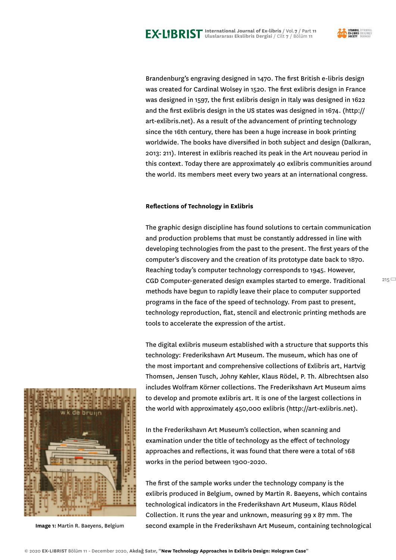

 $215$ 

Brandenburg's engraving designed in 1470. The first British e-libris design was created for Cardinal Wolsey in 1520. The first exlibris design in France was designed in 1597, the first exlibris design in Italy was designed in 1622 and the first exlibris design in the US states was designed in 1674. (http:// art-exlibris.net). As a result of the advancement of printing technology since the 16th century, there has been a huge increase in book printing worldwide. The books have diversified in both subject and design (Dalkıran, 2013: 211). Interest in exlibris reached its peak in the Art nouveau period in this context. Today there are approximately 40 exlibris communities around the world. Its members meet every two years at an international congress.

#### **Reflections of Technology in Exlibris**

The graphic design discipline has found solutions to certain communication and production problems that must be constantly addressed in line with developing technologies from the past to the present. The first years of the computer's discovery and the creation of its prototype date back to 1870. Reaching today's computer technology corresponds to 1945. However, CGD Computer-generated design examples started to emerge. Traditional methods have begun to rapidly leave their place to computer supported programs in the face of the speed of technology. From past to present, technology reproduction, flat, stencil and electronic printing methods are tools to accelerate the expression of the artist.

The digital exlibris museum established with a structure that supports this technology: Frederikshavn Art Museum. The museum, which has one of the most important and comprehensive collections of Exlibris art, Hartvig Thomsen, Jensen Tusch, Johny Køhler, Klaus Rödel, P. Th. Albrechtsen also includes Wolfram Körner collections. The Frederikshavn Art Museum aims to develop and promote exlibris art. It is one of the largest collections in the world with approximately 450,000 exlibris (http://art-exlibris.net).

In the Frederikshavn Art Museum's collection, when scanning and examination under the title of technology as the effect of technology approaches and reflections, it was found that there were a total of 168 works in the period between 1900-2020.

The first of the sample works under the technology company is the exlibris produced in Belgium, owned by Martin R. Baeyens, which contains technological indicators in the Frederikshavn Art Museum, Klaus Rödel Collection. It runs the year and unknown, measuring 99 x 87 mm. The **Image 1:** Martin R. Baeyens, Belgium second example in the Frederikshavn Art Museum, containing technological



© 2020 **EX-LIBRIST** Bölüm 11 - December 2020, **Akdağ Satır, "New Technology Approaches In Exlibris Design: Hologram Case"**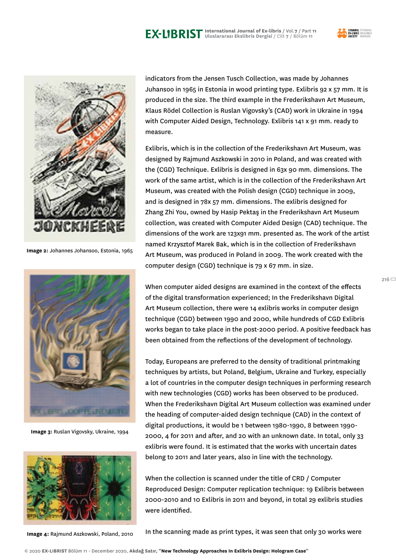



**Image 2:** Johannes Johansoo, Estonia, 1965



**Image 3:** Ruslan Vigovsky, Ukraine, 1994



**Image 4:** Rajmund Aszkowski, Poland, 2010

indicators from the Jensen Tusch Collection, was made by Johannes Juhansoo in 1965 in Estonia in wood printing type. Exlibris 92 x 57 mm. It is produced in the size. The third example in the Frederikshavn Art Museum, Klaus Rödel Collection is Ruslan Vigovsky's (CAD) work in Ukraine in 1994 with Computer Aided Design, Technology. Exlibris 141 x 91 mm. ready to measure.

Exlibris, which is in the collection of the Frederikshavn Art Museum, was designed by Rajmund Aszkowski in 2010 in Poland, and was created with the (CGD) Technique. Exlibris is designed in 63x 90 mm. dimensions. The work of the same artist, which is in the collection of the Frederikshavn Art Museum, was created with the Polish design (CGD) technique in 2009, and is designed in 78x 57 mm. dimensions. The exlibris designed for Zhang Zhi You, owned by Hasip Pektaş in the Frederikshavn Art Museum collection, was created with Computer Aided Design (CAD) technique. The dimensions of the work are 123x91 mm. presented as. The work of the artist named Krzysztof Marek Bak, which is in the collection of Frederikshavn Art Museum, was produced in Poland in 2009. The work created with the computer design (CGD) technique is 79 x 67 mm. in size.

When computer aided designs are examined in the context of the effects of the digital transformation experienced; In the Frederikshavn Digital Art Museum collection, there were 14 exlibris works in computer design technique (CGD) between 1990 and 2000, while hundreds of CGD Exlibris works began to take place in the post-2000 period. A positive feedback has been obtained from the reflections of the development of technology.

Today, Europeans are preferred to the density of traditional printmaking techniques by artists, but Poland, Belgium, Ukraine and Turkey, especially a lot of countries in the computer design techniques in performing research with new technologies (CGD) works has been observed to be produced. When the Frederikshavn Digital Art Museum collection was examined under the heading of computer-aided design technique (CAD) in the context of digital productions, it would be 1 between 1980-1990, 8 between 1990- 2000, 4 for 2011 and after, and 20 with an unknown date. In total, only 33 exlibris were found. It is estimated that the works with uncertain dates belong to 2011 and later years, also in line with the technology.

When the collection is scanned under the title of CRD / Computer Reproduced Design: Computer replication technique: 19 Exlibris between 2000-2010 and 10 Exlibris in 2011 and beyond, in total 29 exlibris studies were identified.

In the scanning made as print types, it was seen that only 30 works were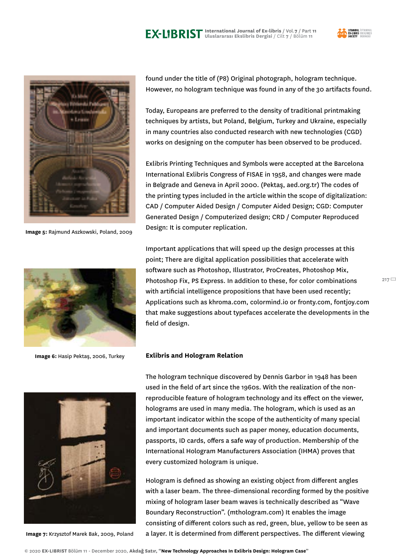



**Image 5:** Rajmund Aszkowski, Poland, 2009



**Image 6:** Hasip Pektaş, 2006, Turkey



**Image 7:** Krzysztof Marek Bak, 2009, Poland

found under the title of (P8) Original photograph, hologram technique. However, no hologram technique was found in any of the 30 artifacts found.

Today, Europeans are preferred to the density of traditional printmaking techniques by artists, but Poland, Belgium, Turkey and Ukraine, especially in many countries also conducted research with new technologies (CGD) works on designing on the computer has been observed to be produced.

Exlibris Printing Techniques and Symbols were accepted at the Barcelona International Exlibris Congress of FISAE in 1958, and changes were made in Belgrade and Geneva in April 2000. (Pektaş, aed.org.tr) The codes of the printing types included in the article within the scope of digitalization: CAD / Computer Aided Design / Computer Aided Design; CGD: Computer Generated Design / Computerized design; CRD / Computer Reproduced Design: It is computer replication.

Important applications that will speed up the design processes at this point; There are digital application possibilities that accelerate with software such as Photoshop, Illustrator, ProCreates, Photoshop Mix, Photoshop Fix, PS Express. In addition to these, for color combinations with artificial intelligence propositions that have been used recently; Applications such as khroma.com, colormind.io or fronty.com, fontjoy.com that make suggestions about typefaces accelerate the developments in the field of design.

#### **Exlibris and Hologram Relation**

The hologram technique discovered by Dennis Garbor in 1948 has been used in the field of art since the 1960s. With the realization of the nonreproducible feature of hologram technology and its effect on the viewer, holograms are used in many media. The hologram, which is used as an important indicator within the scope of the authenticity of many special and important documents such as paper money, education documents, passports, ID cards, offers a safe way of production. Membership of the International Hologram Manufacturers Association (IHMA) proves that every customized hologram is unique.

Hologram is defined as showing an existing object from different angles with a laser beam. The three-dimensional recording formed by the positive mixing of hologram laser beam waves is technically described as "Wave Boundary Reconstruction". (mthologram.com) It enables the image consisting of different colors such as red, green, blue, yellow to be seen as a layer. It is determined from different perspectives. The different viewing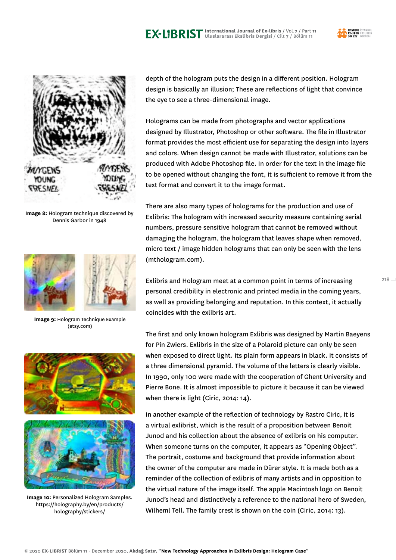

 $218$ 



**Image 8:** Hologram technique discovered by Dennis Garbor in 1948



**Image 9:** Hologram Technique Example (etsy.com)



**Image 10:** Personalized Hologram Samples. https://holography.by/en/products/ holography/stickers/

depth of the hologram puts the design in a different position. Hologram design is basically an illusion; These are reflections of light that convince the eye to see a three-dimensional image.

Holograms can be made from photographs and vector applications designed by Illustrator, Photoshop or other software. The file in Illustrator format provides the most efficient use for separating the design into layers and colors. When design cannot be made with Illustrator, solutions can be produced with Adobe Photoshop file. In order for the text in the image file to be opened without changing the font, it is sufficient to remove it from the text format and convert it to the image format.

There are also many types of holograms for the production and use of Exlibris: The hologram with increased security measure containing serial numbers, pressure sensitive hologram that cannot be removed without damaging the hologram, the hologram that leaves shape when removed, micro text / image hidden holograms that can only be seen with the lens (mthologram.com).

Exlibris and Hologram meet at a common point in terms of increasing personal credibility in electronic and printed media in the coming years, as well as providing belonging and reputation. In this context, it actually coincides with the exlibris art.

The first and only known hologram Exlibris was designed by Martin Baeyens for Pin Zwiers. Exlibris in the size of a Polaroid picture can only be seen when exposed to direct light. Its plain form appears in black. It consists of a three dimensional pyramid. The volume of the letters is clearly visible. In 1990, only 100 were made with the cooperation of Ghent University and Pierre Bone. It is almost impossible to picture it because it can be viewed when there is light (Ciric, 2014: 14).

In another example of the reflection of technology by Rastro Ciric, it is a virtual exlibrist, which is the result of a proposition between Benoit Junod and his collection about the absence of exlibris on his computer. When someone turns on the computer, it appears as "Opening Object". The portrait, costume and background that provide information about the owner of the computer are made in Dürer style. It is made both as a reminder of the collection of exlibris of many artists and in opposition to the virtual nature of the image itself. The apple Macintosh logo on Benoit Junod's head and distinctively a reference to the national hero of Sweden, Wilheml Tell. The family crest is shown on the coin (Ciric, 2014: 13).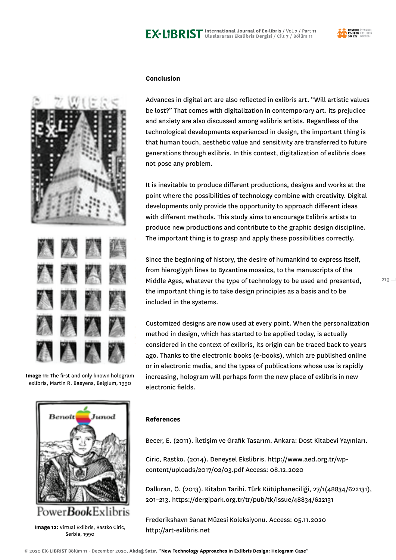

 $219 =$ 



**Image 11:** The first and only known hologram exlibris, Martin R. Baeyens, Belgium, 1990



http://art-exlibris.net **Image 12:** Virtual Exlibris, Rastko Ciric, Serbia, 1990

# **Conclusion**

Advances in digital art are also reflected in exlibris art. "Will artistic values be lost?" That comes with digitalization in contemporary art. its prejudice and anxiety are also discussed among exlibris artists. Regardless of the technological developments experienced in design, the important thing is that human touch, aesthetic value and sensitivity are transferred to future generations through exlibris. In this context, digitalization of exlibris does not pose any problem.

It is inevitable to produce different productions, designs and works at the point where the possibilities of technology combine with creativity. Digital developments only provide the opportunity to approach different ideas with different methods. This study aims to encourage Exlibris artists to produce new productions and contribute to the graphic design discipline. The important thing is to grasp and apply these possibilities correctly.

Since the beginning of history, the desire of humankind to express itself, from hieroglyph lines to Byzantine mosaics, to the manuscripts of the Middle Ages, whatever the type of technology to be used and presented, the important thing is to take design principles as a basis and to be included in the systems.

Customized designs are now used at every point. When the personalization method in design, which has started to be applied today, is actually considered in the context of exlibris, its origin can be traced back to years ago. Thanks to the electronic books (e-books), which are published online or in electronic media, and the types of publications whose use is rapidly increasing, hologram will perhaps form the new place of exlibris in new electronic fields.

# **References**

Becer, E. (2011). İletişim ve Grafik Tasarım. Ankara: Dost Kitabevi Yayınları.

Ciric, Rastko. (2014). Deneysel Ekslibris. http://www.aed.org.tr/wpcontent/uploads/2017/02/03.pdf Access: 08.12.2020

Dalkıran, Ö. (2013). Kitabın Tarihi. Türk Kütüphaneciliği, 27/1(48834/622131), 201–213. https://dergipark.org.tr/tr/pub/tk/issue/48834/622131

Frederikshavn Sanat Müzesi Koleksiyonu. Access: 05.11.2020